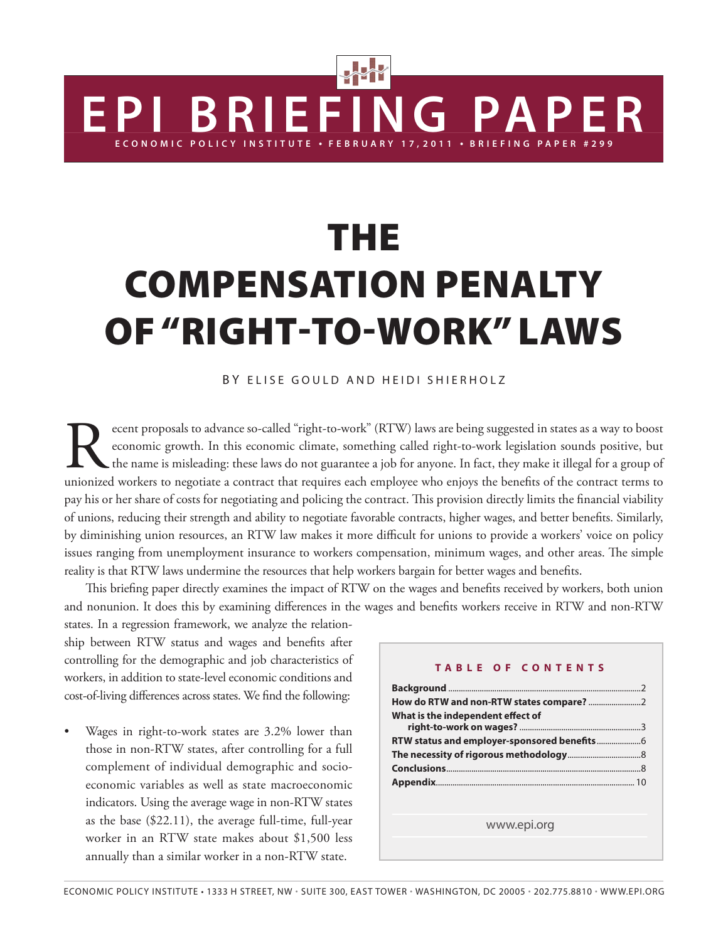# **THE** Compensation penalty of "right-to-work" laws

**ERIEFING PAPE** 

#### BY ELISE GOULD AND HEIDI SHIERHOLZ

ecent proposals to advance so-called "right-to-work" (RTW) laws are being suggested in states as a way to boost economic growth. In this economic climate, something called right-to-work legislation sounds positive, but the economic growth. In this economic climate, something called right-to-work legislation sounds positive, but the name is misleading: these laws do not guarantee a job for anyone. In fact, they make it illegal for a group of unionized workers to negotiate a contract that requires each employee who enjoys the benefits of the contract terms to pay his or her share of costs for negotiating and policing the contract. This provision directly limits the financial viability of unions, reducing their strength and ability to negotiate favorable contracts, higher wages, and better benefits. Similarly, by diminishing union resources, an RTW law makes it more difficult for unions to provide a workers' voice on policy issues ranging from unemployment insurance to workers compensation, minimum wages, and other areas. The simple reality is that RTW laws undermine the resources that help workers bargain for better wages and benefits.

This briefing paper directly examines the impact of RTW on the wages and benefits received by workers, both union and nonunion. It does this by examining differences in the wages and benefits workers receive in RTW and non-RTW

states. In a regression framework, we analyze the relationship between RTW status and wages and benefits after controlling for the demographic and job characteristics of workers, in addition to state-level economic conditions and cost-of-living differences across states. We find the following:

Wages in right-to-work states are 3.2% lower than those in non-RTW states, after controlling for a full complement of individual demographic and socioeconomic variables as well as state macroeconomic indicators. Using the average wage in non-RTW states as the base (\$22.11), the average full-time, full-year worker in an RTW state makes about \$1,500 less annually than a similar worker in a non-RTW state.

#### **Table of Con t e n t s**

**RRIFFING PAPFR** 

| What is the independent effect of                                                                               |  |
|-----------------------------------------------------------------------------------------------------------------|--|
|                                                                                                                 |  |
|                                                                                                                 |  |
|                                                                                                                 |  |
|                                                                                                                 |  |
|                                                                                                                 |  |
|                                                                                                                 |  |
| the contract of the contract of the contract of the contract of the contract of the contract of the contract of |  |

www.epi.org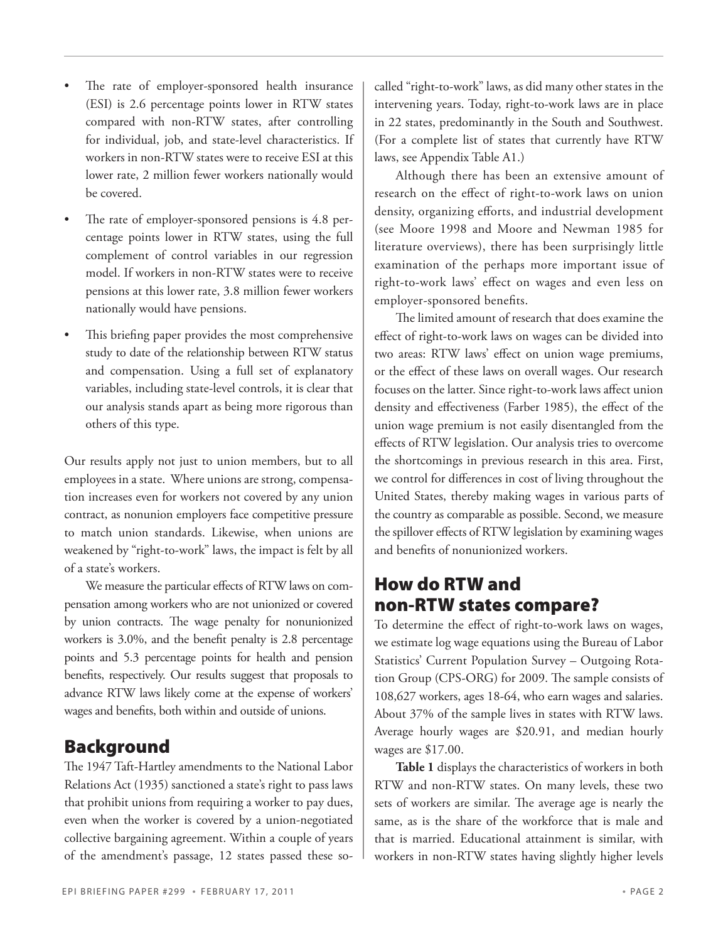- The rate of employer-sponsored health insurance (ESI) is 2.6 percentage points lower in RTW states compared with non-RTW states, after controlling for individual, job, and state-level characteristics. If workers in non-RTW states were to receive ESI at this lower rate, 2 million fewer workers nationally would be covered.
- The rate of employer-sponsored pensions is  $4.8$  percentage points lower in RTW states, using the full complement of control variables in our regression model. If workers in non-RTW states were to receive pensions at this lower rate, 3.8 million fewer workers nationally would have pensions.
- This briefing paper provides the most comprehensive study to date of the relationship between RTW status and compensation. Using a full set of explanatory variables, including state-level controls, it is clear that our analysis stands apart as being more rigorous than others of this type.

Our results apply not just to union members, but to all employees in a state. Where unions are strong, compensation increases even for workers not covered by any union contract, as nonunion employers face competitive pressure to match union standards. Likewise, when unions are weakened by "right-to-work" laws, the impact is felt by all of a state's workers.

We measure the particular effects of RTW laws on compensation among workers who are not unionized or covered by union contracts. The wage penalty for nonunionized workers is 3.0%, and the benefit penalty is 2.8 percentage points and 5.3 percentage points for health and pension benefits, respectively. Our results suggest that proposals to advance RTW laws likely come at the expense of workers' wages and benefits, both within and outside of unions.

## Background

The 1947 Taft-Hartley amendments to the National Labor Relations Act (1935) sanctioned a state's right to pass laws that prohibit unions from requiring a worker to pay dues, even when the worker is covered by a union-negotiated collective bargaining agreement. Within a couple of years of the amendment's passage, 12 states passed these socalled "right-to-work" laws, as did many other states in the intervening years. Today, right-to-work laws are in place in 22 states, predominantly in the South and Southwest. (For a complete list of states that currently have RTW laws, see Appendix Table A1.)

Although there has been an extensive amount of research on the effect of right-to-work laws on union density, organizing efforts, and industrial development (see Moore 1998 and Moore and Newman 1985 for literature overviews), there has been surprisingly little examination of the perhaps more important issue of right-to-work laws' effect on wages and even less on employer-sponsored benefits.

The limited amount of research that does examine the effect of right-to-work laws on wages can be divided into two areas: RTW laws' effect on union wage premiums, or the effect of these laws on overall wages. Our research focuses on the latter. Since right-to-work laws affect union density and effectiveness (Farber 1985), the effect of the union wage premium is not easily disentangled from the effects of RTW legislation. Our analysis tries to overcome the shortcomings in previous research in this area. First, we control for differences in cost of living throughout the United States, thereby making wages in various parts of the country as comparable as possible. Second, we measure the spillover effects of RTW legislation by examining wages and benefits of nonunionized workers.

## How do RTW and non-RTW states compare?

To determine the effect of right-to-work laws on wages, we estimate log wage equations using the Bureau of Labor Statistics' Current Population Survey – Outgoing Rotation Group (CPS-ORG) for 2009. The sample consists of 108,627 workers, ages 18-64, who earn wages and salaries. About 37% of the sample lives in states with RTW laws. Average hourly wages are \$20.91, and median hourly wages are \$17.00.

**Table 1** displays the characteristics of workers in both RTW and non-RTW states. On many levels, these two sets of workers are similar. The average age is nearly the same, as is the share of the workforce that is male and that is married. Educational attainment is similar, with workers in non-RTW states having slightly higher levels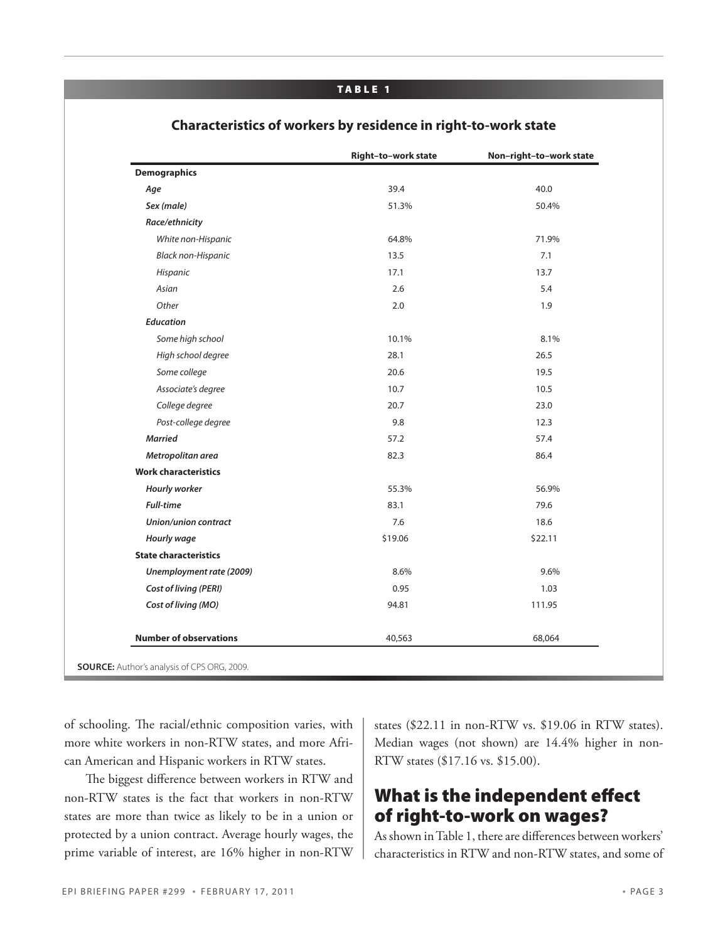#### TA B LE 1

|                               | Right-to-work state | Non-right-to-work state |
|-------------------------------|---------------------|-------------------------|
| <b>Demographics</b>           |                     |                         |
| Age                           | 39.4                | 40.0                    |
| Sex (male)                    | 51.3%               | 50.4%                   |
| Race/ethnicity                |                     |                         |
| White non-Hispanic            | 64.8%               | 71.9%                   |
| Black non-Hispanic            | 13.5                | 7.1                     |
| Hispanic                      | 17.1                | 13.7                    |
| Asian                         | 2.6                 | 5.4                     |
| Other                         | 2.0                 | 1.9                     |
| <b>Education</b>              |                     |                         |
| Some high school              | 10.1%               | 8.1%                    |
| High school degree            | 28.1                | 26.5                    |
| Some college                  | 20.6                | 19.5                    |
| Associate's degree            | 10.7                | 10.5                    |
| College degree                | 20.7                | 23.0                    |
| Post-college degree           | 9.8                 | 12.3                    |
| <b>Married</b>                | 57.2                | 57.4                    |
| Metropolitan area             | 82.3                | 86.4                    |
| <b>Work characteristics</b>   |                     |                         |
| Hourly worker                 | 55.3%               | 56.9%                   |
| <b>Full-time</b>              | 83.1                | 79.6                    |
| Union/union contract          | 7.6                 | 18.6                    |
| Hourly wage                   | \$19.06             | \$22.11                 |
| <b>State characteristics</b>  |                     |                         |
| Unemployment rate (2009)      | 8.6%                | 9.6%                    |
| <b>Cost of living (PERI)</b>  | 0.95                | 1.03                    |
| Cost of living (MO)           | 94.81               | 111.95                  |
| <b>Number of observations</b> | 40,563              | 68,064                  |

#### **Characteristics of workers by residence in right-to-work state**

of schooling. The racial/ethnic composition varies, with more white workers in non-RTW states, and more African American and Hispanic workers in RTW states.

The biggest difference between workers in RTW and non-RTW states is the fact that workers in non-RTW states are more than twice as likely to be in a union or protected by a union contract. Average hourly wages, the prime variable of interest, are 16% higher in non-RTW states (\$22.11 in non-RTW vs. \$19.06 in RTW states). Median wages (not shown) are 14.4% higher in non-RTW states (\$17.16 vs. \$15.00).

## What is the independent effect of right-to-work on wages?

As shown in Table 1, there are differences between workers' characteristics in RTW and non-RTW states, and some of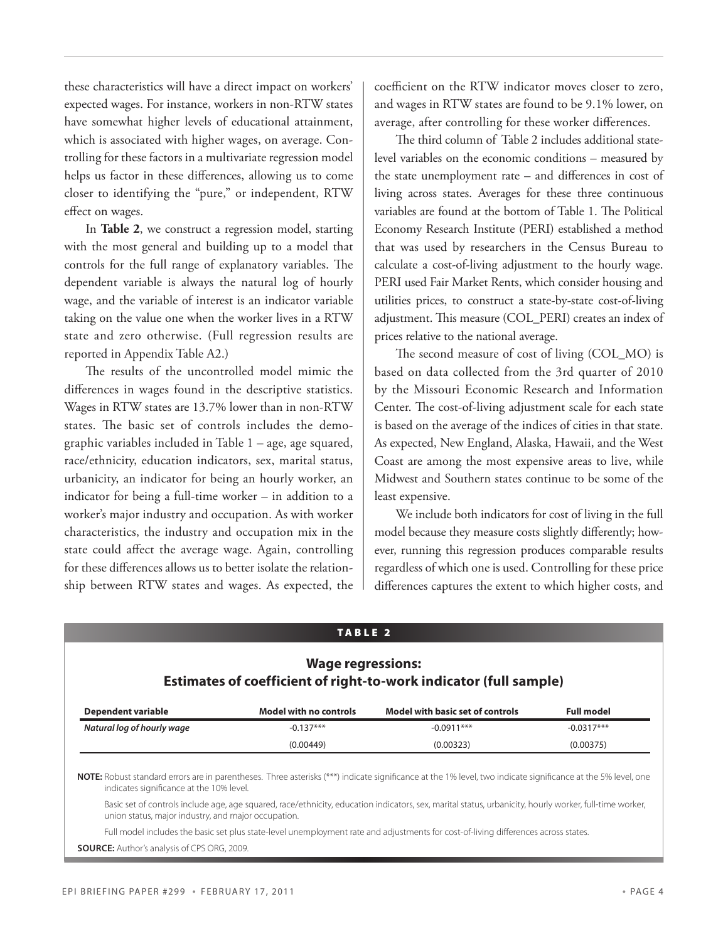these characteristics will have a direct impact on workers' expected wages. For instance, workers in non-RTW states have somewhat higher levels of educational attainment, which is associated with higher wages, on average. Controlling for these factors in a multivariate regression model helps us factor in these differences, allowing us to come closer to identifying the "pure," or independent, RTW effect on wages.

In **Table 2**, we construct a regression model, starting with the most general and building up to a model that controls for the full range of explanatory variables. The dependent variable is always the natural log of hourly wage, and the variable of interest is an indicator variable taking on the value one when the worker lives in a RTW state and zero otherwise. (Full regression results are reported in Appendix Table A2.)

The results of the uncontrolled model mimic the differences in wages found in the descriptive statistics. Wages in RTW states are 13.7% lower than in non-RTW states. The basic set of controls includes the demographic variables included in Table 1 – age, age squared, race/ethnicity, education indicators, sex, marital status, urbanicity, an indicator for being an hourly worker, an indicator for being a full-time worker – in addition to a worker's major industry and occupation. As with worker characteristics, the industry and occupation mix in the state could affect the average wage. Again, controlling for these differences allows us to better isolate the relationship between RTW states and wages. As expected, the

coefficient on the RTW indicator moves closer to zero, and wages in RTW states are found to be 9.1% lower, on average, after controlling for these worker differences.

The third column of Table 2 includes additional statelevel variables on the economic conditions – measured by the state unemployment rate – and differences in cost of living across states. Averages for these three continuous variables are found at the bottom of Table 1. The Political Economy Research Institute (PERI) established a method that was used by researchers in the Census Bureau to calculate a cost-of-living adjustment to the hourly wage. PERI used Fair Market Rents, which consider housing and utilities prices, to construct a state-by-state cost-of-living adjustment. This measure (COL\_PERI) creates an index of prices relative to the national average.

The second measure of cost of living (COL\_MO) is based on data collected from the 3rd quarter of 2010 by the Missouri Economic Research and Information Center. The cost-of-living adjustment scale for each state is based on the average of the indices of cities in that state. As expected, New England, Alaska, Hawaii, and the West Coast are among the most expensive areas to live, while Midwest and Southern states continue to be some of the least expensive.

We include both indicators for cost of living in the full model because they measure costs slightly differently; however, running this regression produces comparable results regardless of which one is used. Controlling for these price differences captures the extent to which higher costs, and

#### TA B LE 2

## **Wage regressions: Estimates of coefficient of right-to-work indicator (full sample)**

| Dependent variable         | <b>Model with no controls</b> | Model with basic set of controls | Full model   |
|----------------------------|-------------------------------|----------------------------------|--------------|
| Natural log of hourly wage | $-0.137***$                   | $-0.0911***$                     | $-0.0317***$ |
|                            | (0.00449)                     | (0.00323)                        | (0.00375)    |

**NOTE:** Robust standard errors are in parentheses. Three asterisks (\*\*\*) indicate significance at the 1% level, two indicate significance at the 5% level, one indicates significance at the 10% level.

 Basic set of controls include age, age squared, race/ethnicity, education indicators, sex, marital status, urbanicity, hourly worker, full-time worker, union status, major industry, and major occupation.

Full model includes the basic set plus state-level unemployment rate and adjustments for cost-of-living differences across states.

**Source:** Author's analysis of CPS ORG, 2009.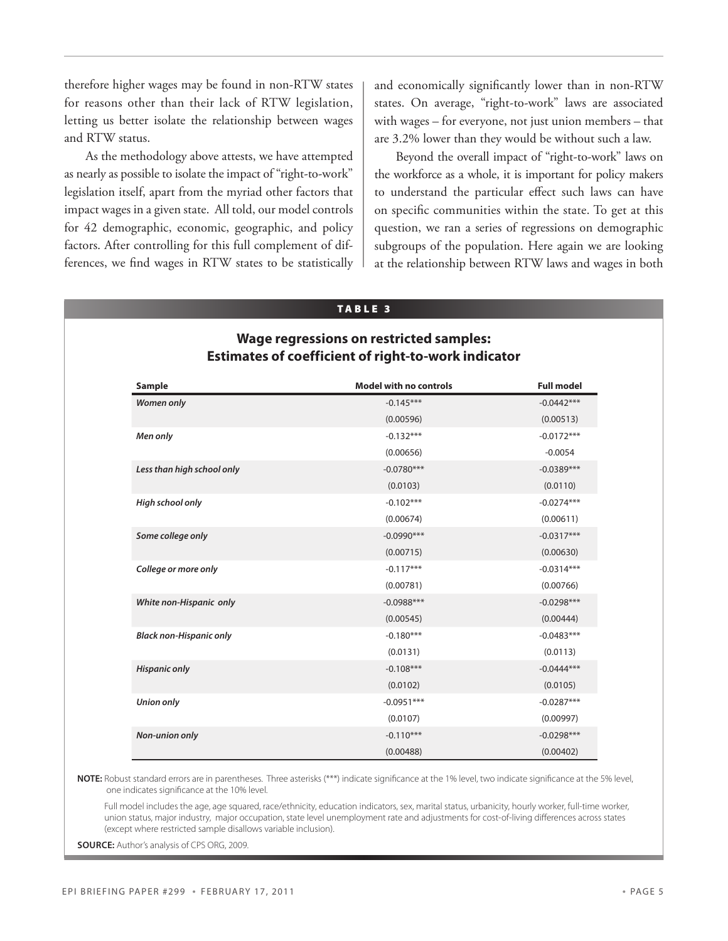therefore higher wages may be found in non-RTW states for reasons other than their lack of RTW legislation, letting us better isolate the relationship between wages and RTW status.

As the methodology above attests, we have attempted as nearly as possible to isolate the impact of "right-to-work" legislation itself, apart from the myriad other factors that impact wages in a given state. All told, our model controls for 42 demographic, economic, geographic, and policy factors. After controlling for this full complement of differences, we find wages in RTW states to be statistically and economically significantly lower than in non-RTW states. On average, "right-to-work" laws are associated with wages – for everyone, not just union members – that are 3.2% lower than they would be without such a law.

Beyond the overall impact of "right-to-work" laws on the workforce as a whole, it is important for policy makers to understand the particular effect such laws can have on specific communities within the state. To get at this question, we ran a series of regressions on demographic subgroups of the population. Here again we are looking at the relationship between RTW laws and wages in both

#### TA B LE 3

### **Wage regressions on restricted samples: Estimates of coefficient of right-to-work indicator**

| <b>Sample</b>                  | <b>Model with no controls</b> | <b>Full model</b> |
|--------------------------------|-------------------------------|-------------------|
| <b>Women only</b>              | $-0.145***$                   | $-0.0442***$      |
|                                | (0.00596)                     | (0.00513)         |
| Men only                       | $-0.132***$                   | $-0.0172***$      |
|                                | (0.00656)                     | $-0.0054$         |
| Less than high school only     | $-0.0780***$                  | $-0.0389***$      |
|                                | (0.0103)                      | (0.0110)          |
| High school only               | $-0.102***$                   | $-0.0274***$      |
|                                | (0.00674)                     | (0.00611)         |
| Some college only              | $-0.0990***$                  | $-0.0317***$      |
|                                | (0.00715)                     | (0.00630)         |
| College or more only           | $-0.117***$                   | $-0.0314***$      |
|                                | (0.00781)                     | (0.00766)         |
| White non-Hispanic only        | $-0.0988***$                  | $-0.0298***$      |
|                                | (0.00545)                     | (0.00444)         |
| <b>Black non-Hispanic only</b> | $-0.180***$                   | $-0.0483***$      |
|                                | (0.0131)                      | (0.0113)          |
| <b>Hispanic only</b>           | $-0.108***$                   | $-0.0444***$      |
|                                | (0.0102)                      | (0.0105)          |
| <b>Union only</b>              | $-0.0951***$                  | $-0.0287***$      |
|                                | (0.0107)                      | (0.00997)         |
| <b>Non-union only</b>          | $-0.110***$                   | $-0.0298***$      |
|                                | (0.00488)                     | (0.00402)         |

**NOTE:** Robust standard errors are in parentheses. Three asterisks (\*\*\*) indicate significance at the 1% level, two indicate significance at the 5% level, one indicates significance at the 10% level.

Full model includes the age, age squared, race/ethnicity, education indicators, sex, marital status, urbanicity, hourly worker, full-time worker, union status, major industry, major occupation, state level unemployment rate and adjustments for cost-of-living differences across states (except where restricted sample disallows variable inclusion).

**Source:** Author's analysis of CPS ORG, 2009.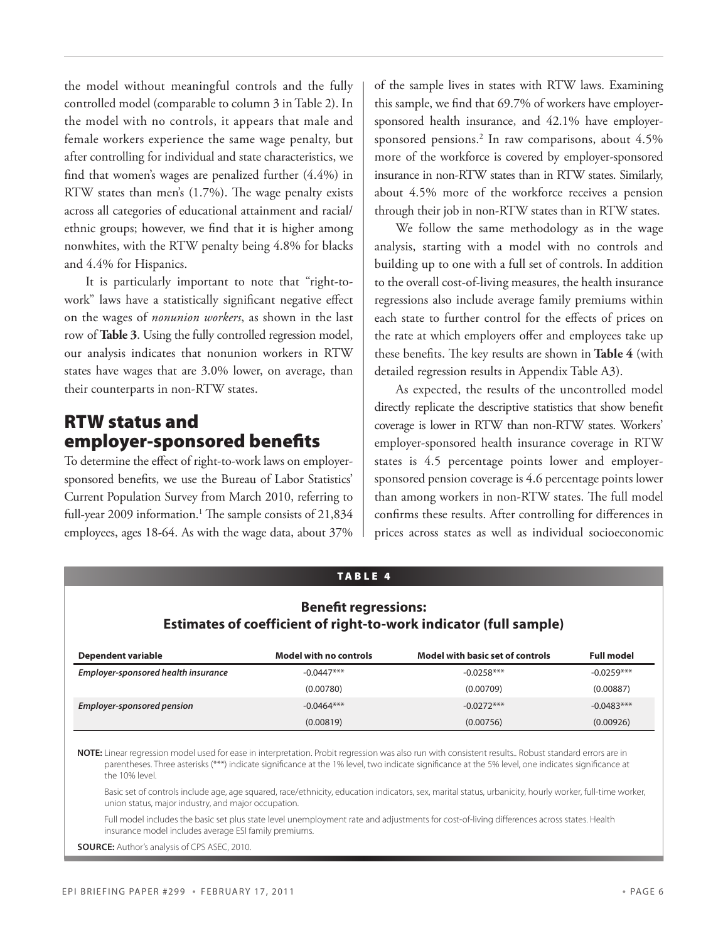the model without meaningful controls and the fully controlled model (comparable to column 3 in Table 2). In the model with no controls, it appears that male and female workers experience the same wage penalty, but after controlling for individual and state characteristics, we find that women's wages are penalized further (4.4%) in RTW states than men's (1.7%). The wage penalty exists across all categories of educational attainment and racial/ ethnic groups; however, we find that it is higher among nonwhites, with the RTW penalty being 4.8% for blacks and 4.4% for Hispanics.

It is particularly important to note that "right-towork" laws have a statistically significant negative effect on the wages of *nonunion workers*, as shown in the last row of **Table 3**. Using the fully controlled regression model, our analysis indicates that nonunion workers in RTW states have wages that are 3.0% lower, on average, than their counterparts in non-RTW states.

## RTW status and employer-sponsored benefits

To determine the effect of right-to-work laws on employersponsored benefits, we use the Bureau of Labor Statistics' Current Population Survey from March 2010, referring to full-year 2009 information.<sup>1</sup> The sample consists of 21,834 employees, ages 18-64. As with the wage data, about 37%

of the sample lives in states with RTW laws. Examining this sample, we find that 69.7% of workers have employersponsored health insurance, and 42.1% have employersponsored pensions.2 In raw comparisons, about 4.5% more of the workforce is covered by employer-sponsored insurance in non-RTW states than in RTW states. Similarly, about 4.5% more of the workforce receives a pension through their job in non-RTW states than in RTW states.

We follow the same methodology as in the wage analysis, starting with a model with no controls and building up to one with a full set of controls. In addition to the overall cost-of-living measures, the health insurance regressions also include average family premiums within each state to further control for the effects of prices on the rate at which employers offer and employees take up these benefits. The key results are shown in **Table 4** (with detailed regression results in Appendix Table A3).

As expected, the results of the uncontrolled model directly replicate the descriptive statistics that show benefit coverage is lower in RTW than non-RTW states. Workers' employer-sponsored health insurance coverage in RTW states is 4.5 percentage points lower and employersponsored pension coverage is 4.6 percentage points lower than among workers in non-RTW states. The full model confirms these results. After controlling for differences in prices across states as well as individual socioeconomic

#### TA B LE 4

#### **Benefit regressions: Estimates of coefficient of right-to-work indicator (full sample)**

| Dependent variable                  | <b>Model with no controls</b> | Model with basic set of controls | <b>Full model</b> |
|-------------------------------------|-------------------------------|----------------------------------|-------------------|
| Employer-sponsored health insurance | $-0.0447***$                  | $-0.0258***$                     | $-0.0259***$      |
|                                     | (0.00780)                     | (0.00709)                        | (0.00887)         |
| <b>Employer-sponsored pension</b>   | $-0.0464***$                  | $-0.0272***$                     | $-0.0483***$      |
|                                     | (0.00819)                     | (0.00756)                        | (0.00926)         |

**NOTE:** Linear regression model used for ease in interpretation. Probit regression was also run with consistent results.. Robust standard errors are in parentheses. Three asterisks (\*\*\*) indicate significance at the 1% level, two indicate significance at the 5% level, one indicates significance at the 10% level.

 Basic set of controls include age, age squared, race/ethnicity, education indicators, sex, marital status, urbanicity, hourly worker, full-time worker, union status, major industry, and major occupation.

 Full model includes the basic set plus state level unemployment rate and adjustments for cost-of-living differences across states. Health insurance model includes average ESI family premiums.

**Source:** Author's analysis of CPS ASEC, 2010.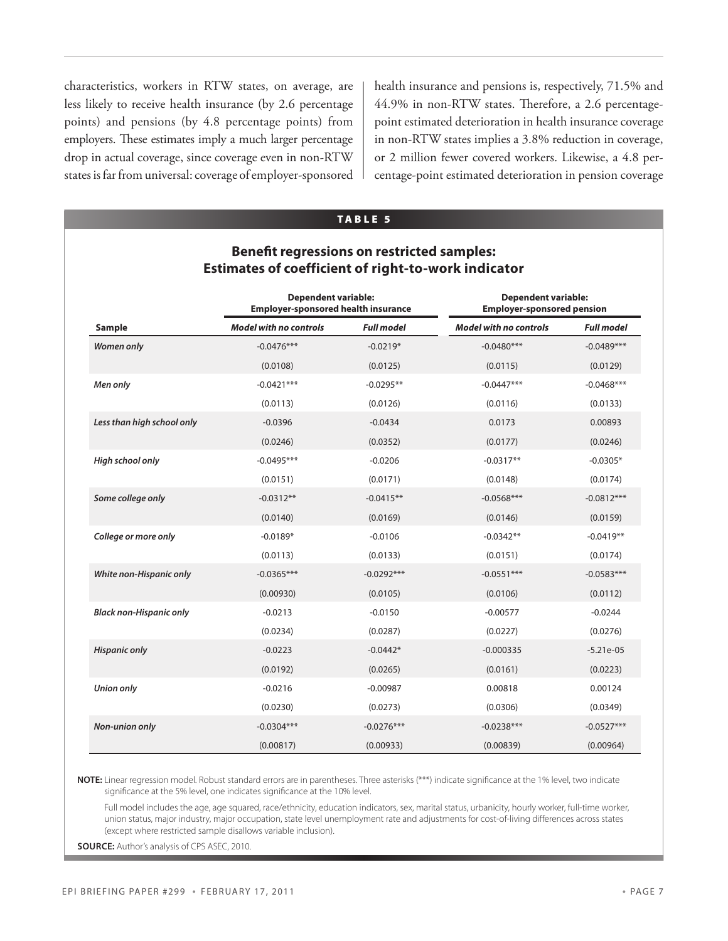characteristics, workers in RTW states, on average, are less likely to receive health insurance (by 2.6 percentage points) and pensions (by 4.8 percentage points) from employers. These estimates imply a much larger percentage drop in actual coverage, since coverage even in non-RTW states is far from universal: coverage of employer-sponsored

health insurance and pensions is, respectively, 71.5% and 44.9% in non-RTW states. Therefore, a 2.6 percentagepoint estimated deterioration in health insurance coverage in non-RTW states implies a 3.8% reduction in coverage, or 2 million fewer covered workers. Likewise, a 4.8 percentage-point estimated deterioration in pension coverage

#### TA B LE 5

#### **Benefit regressions on restricted samples: Estimates of coefficient of right-to-work indicator**

|                                | <b>Dependent variable:</b><br><b>Employer-sponsored health insurance</b> |                   | <b>Dependent variable:</b><br><b>Employer-sponsored pension</b> |                   |  |
|--------------------------------|--------------------------------------------------------------------------|-------------------|-----------------------------------------------------------------|-------------------|--|
| Sample                         | <b>Model with no controls</b>                                            | <b>Full model</b> | <b>Model with no controls</b>                                   | <b>Full model</b> |  |
| <b>Women only</b>              | $-0.0476***$                                                             | $-0.0219*$        | $-0.0480***$                                                    | $-0.0489***$      |  |
|                                | (0.0108)                                                                 | (0.0125)          | (0.0115)                                                        | (0.0129)          |  |
| Men only                       | $-0.0421***$                                                             | $-0.0295**$       | $-0.0447***$                                                    | $-0.0468***$      |  |
|                                | (0.0113)                                                                 | (0.0126)          | (0.0116)                                                        | (0.0133)          |  |
| Less than high school only     | $-0.0396$                                                                | $-0.0434$         | 0.0173                                                          | 0.00893           |  |
|                                | (0.0246)                                                                 | (0.0352)          | (0.0177)                                                        | (0.0246)          |  |
| High school only               | $-0.0495***$                                                             | $-0.0206$         | $-0.0317**$                                                     | $-0.0305*$        |  |
|                                | (0.0151)                                                                 | (0.0171)          | (0.0148)                                                        | (0.0174)          |  |
| Some college only              | $-0.0312**$                                                              | $-0.0415**$       | $-0.0568***$                                                    | $-0.0812***$      |  |
|                                | (0.0140)                                                                 | (0.0169)          | (0.0146)                                                        | (0.0159)          |  |
| College or more only           | $-0.0189*$                                                               | $-0.0106$         | $-0.0342**$                                                     | $-0.0419**$       |  |
|                                | (0.0113)                                                                 | (0.0133)          | (0.0151)                                                        | (0.0174)          |  |
| White non-Hispanic only        | $-0.0365***$                                                             | $-0.0292***$      | $-0.0551***$                                                    | $-0.0583***$      |  |
|                                | (0.00930)                                                                | (0.0105)          | (0.0106)                                                        | (0.0112)          |  |
| <b>Black non-Hispanic only</b> | $-0.0213$                                                                | $-0.0150$         | $-0.00577$                                                      | $-0.0244$         |  |
|                                | (0.0234)                                                                 | (0.0287)          | (0.0227)                                                        | (0.0276)          |  |
| <b>Hispanic only</b>           | $-0.0223$                                                                | $-0.0442*$        | $-0.000335$                                                     | $-5.21e-05$       |  |
|                                | (0.0192)                                                                 | (0.0265)          | (0.0161)                                                        | (0.0223)          |  |
| <b>Union only</b>              | $-0.0216$                                                                | $-0.00987$        | 0.00818                                                         | 0.00124           |  |
|                                | (0.0230)                                                                 | (0.0273)          | (0.0306)                                                        | (0.0349)          |  |
| <b>Non-union only</b>          | $-0.0304***$                                                             | $-0.0276***$      | $-0.0238***$                                                    | $-0.0527***$      |  |
|                                | (0.00817)                                                                | (0.00933)         | (0.00839)                                                       | (0.00964)         |  |

**NOTE:** Linear regression model. Robust standard errors are in parentheses. Three asterisks (\*\*\*) indicate significance at the 1% level, two indicate significance at the 5% level, one indicates significance at the 10% level.

 Full model includes the age, age squared, race/ethnicity, education indicators, sex, marital status, urbanicity, hourly worker, full-time worker, union status, major industry, major occupation, state level unemployment rate and adjustments for cost-of-living differences across states (except where restricted sample disallows variable inclusion).

**Source:** Author's analysis of CPS ASEC, 2010.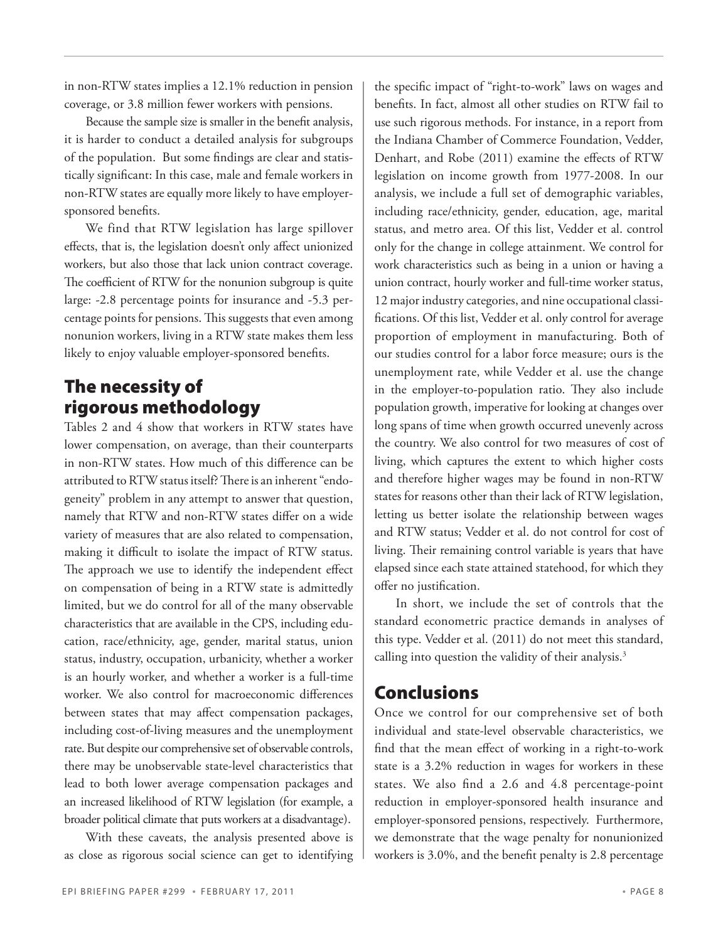in non-RTW states implies a 12.1% reduction in pension coverage, or 3.8 million fewer workers with pensions.

Because the sample size is smaller in the benefit analysis, it is harder to conduct a detailed analysis for subgroups of the population. But some findings are clear and statistically significant: In this case, male and female workers in non-RTW states are equally more likely to have employersponsored benefits.

We find that RTW legislation has large spillover effects, that is, the legislation doesn't only affect unionized workers, but also those that lack union contract coverage. The coefficient of RTW for the nonunion subgroup is quite large: -2.8 percentage points for insurance and -5.3 percentage points for pensions. This suggests that even among nonunion workers, living in a RTW state makes them less likely to enjoy valuable employer-sponsored benefits.

# The necessity of rigorous methodology

Tables 2 and 4 show that workers in RTW states have lower compensation, on average, than their counterparts in non-RTW states. How much of this difference can be attributed to RTW status itself? There is an inherent "endogeneity" problem in any attempt to answer that question, namely that RTW and non-RTW states differ on a wide variety of measures that are also related to compensation, making it difficult to isolate the impact of RTW status. The approach we use to identify the independent effect on compensation of being in a RTW state is admittedly limited, but we do control for all of the many observable characteristics that are available in the CPS, including education, race/ethnicity, age, gender, marital status, union status, industry, occupation, urbanicity, whether a worker is an hourly worker, and whether a worker is a full-time worker. We also control for macroeconomic differences between states that may affect compensation packages, including cost-of-living measures and the unemployment rate. But despite our comprehensive set of observable controls, there may be unobservable state-level characteristics that lead to both lower average compensation packages and an increased likelihood of RTW legislation (for example, a broader political climate that puts workers at a disadvantage).

With these caveats, the analysis presented above is as close as rigorous social science can get to identifying the specific impact of "right-to-work" laws on wages and benefits. In fact, almost all other studies on RTW fail to use such rigorous methods. For instance, in a report from the Indiana Chamber of Commerce Foundation, Vedder, Denhart, and Robe (2011) examine the effects of RTW legislation on income growth from 1977-2008. In our analysis, we include a full set of demographic variables, including race/ethnicity, gender, education, age, marital status, and metro area. Of this list, Vedder et al. control only for the change in college attainment. We control for work characteristics such as being in a union or having a union contract, hourly worker and full-time worker status, 12 major industry categories, and nine occupational classifications. Of this list, Vedder et al. only control for average proportion of employment in manufacturing. Both of our studies control for a labor force measure; ours is the unemployment rate, while Vedder et al. use the change in the employer-to-population ratio. They also include population growth, imperative for looking at changes over long spans of time when growth occurred unevenly across the country. We also control for two measures of cost of living, which captures the extent to which higher costs and therefore higher wages may be found in non-RTW states for reasons other than their lack of RTW legislation, letting us better isolate the relationship between wages and RTW status; Vedder et al. do not control for cost of living. Their remaining control variable is years that have elapsed since each state attained statehood, for which they offer no justification.

In short, we include the set of controls that the standard econometric practice demands in analyses of this type. Vedder et al. (2011) do not meet this standard, calling into question the validity of their analysis.<sup>3</sup>

## Conclusions

Once we control for our comprehensive set of both individual and state-level observable characteristics, we find that the mean effect of working in a right-to-work state is a 3.2% reduction in wages for workers in these states. We also find a 2.6 and 4.8 percentage-point reduction in employer-sponsored health insurance and employer-sponsored pensions, respectively. Furthermore, we demonstrate that the wage penalty for nonunionized workers is 3.0%, and the benefit penalty is 2.8 percentage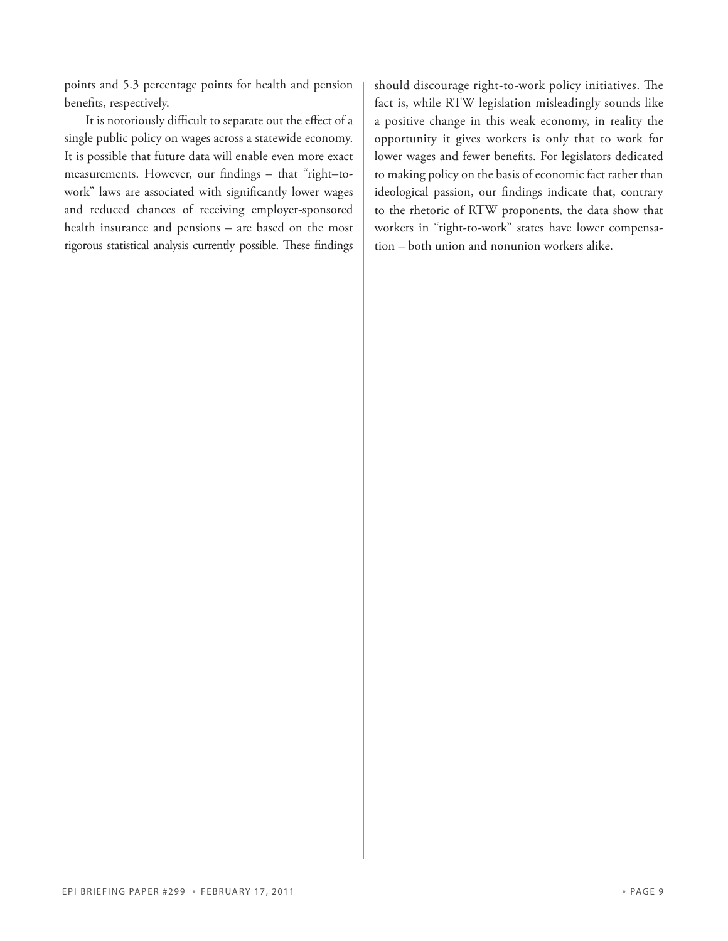points and 5.3 percentage points for health and pension benefits, respectively.

It is notoriously difficult to separate out the effect of a single public policy on wages across a statewide economy. It is possible that future data will enable even more exact measurements. However, our findings – that "right–towork" laws are associated with significantly lower wages and reduced chances of receiving employer-sponsored health insurance and pensions – are based on the most rigorous statistical analysis currently possible. These findings

should discourage right-to-work policy initiatives. The fact is, while RTW legislation misleadingly sounds like a positive change in this weak economy, in reality the opportunity it gives workers is only that to work for lower wages and fewer benefits. For legislators dedicated to making policy on the basis of economic fact rather than ideological passion, our findings indicate that, contrary to the rhetoric of RTW proponents, the data show that workers in "right-to-work" states have lower compensation – both union and nonunion workers alike.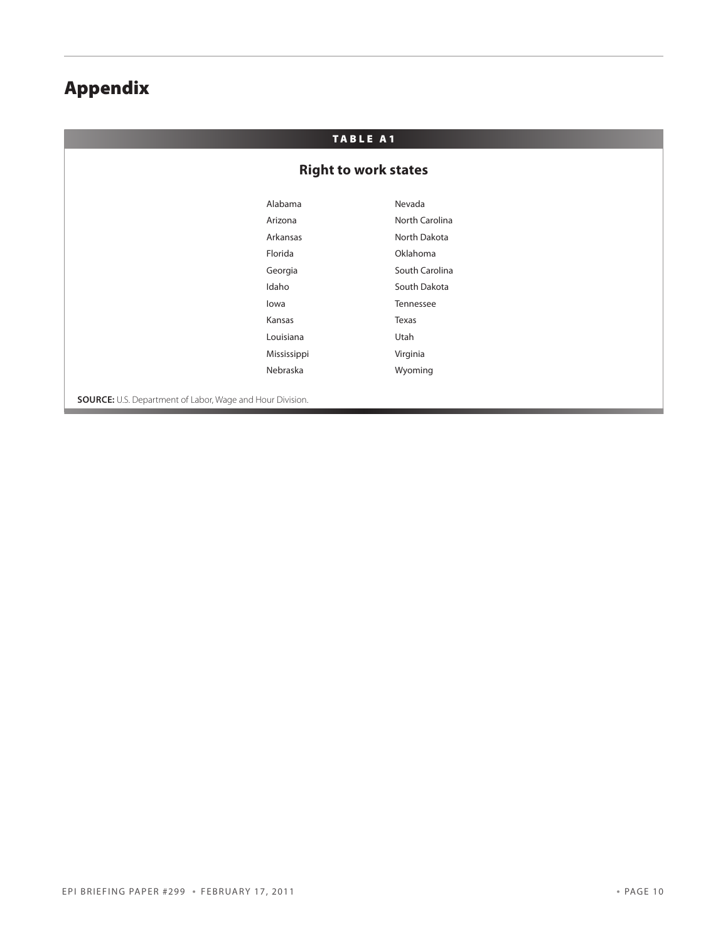# Appendix

## TABLE A1

## **Right to work states**

| Alabama     | Nevada         |
|-------------|----------------|
| Arizona     | North Carolina |
| Arkansas    | North Dakota   |
| Florida     | Oklahoma       |
| Georgia     | South Carolina |
| Idaho       | South Dakota   |
| lowa        | Tennessee      |
| Kansas      | Texas          |
| Louisiana   | Utah           |
| Mississippi | Virginia       |
| Nebraska    | Wyoming        |
|             |                |

**Source:** U.S. Department of Labor, Wage and Hour Division.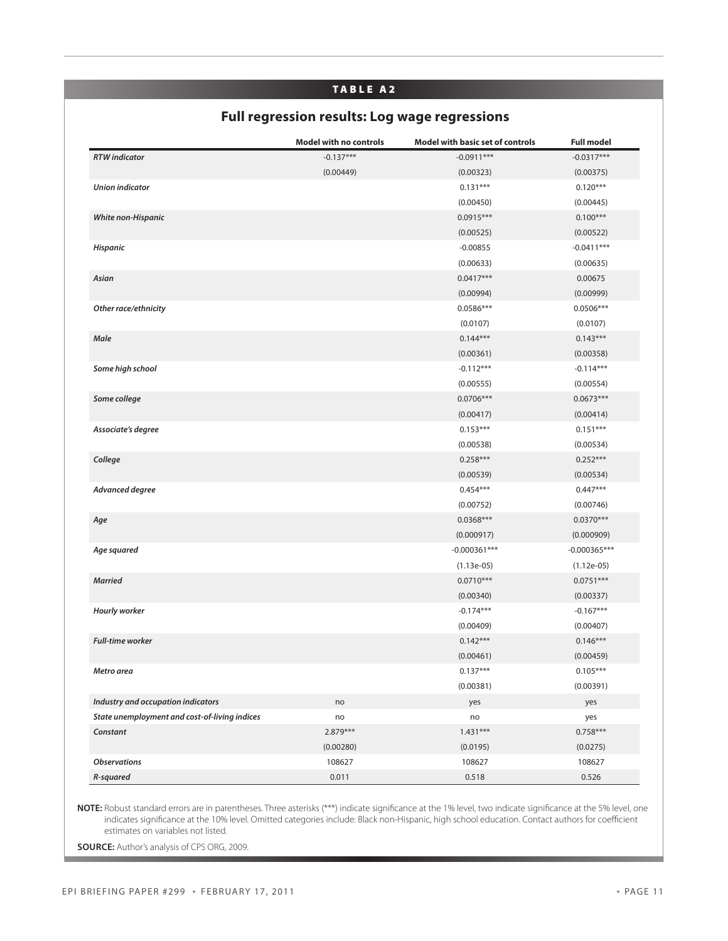#### TABLE A2

# **Full regression results: Log wage regressions**

|                                               | <b>Model with no controls</b> | <b>Model with basic set of controls</b> | <b>Full model</b> |
|-----------------------------------------------|-------------------------------|-----------------------------------------|-------------------|
| <b>RTW</b> indicator                          | $-0.137***$                   | $-0.0911***$                            | $-0.0317***$      |
|                                               | (0.00449)                     | (0.00323)                               | (0.00375)         |
| <b>Union indicator</b>                        |                               | $0.131***$                              | $0.120***$        |
|                                               |                               | (0.00450)                               | (0.00445)         |
| White non-Hispanic                            |                               | $0.0915***$                             | $0.100***$        |
|                                               |                               | (0.00525)                               | (0.00522)         |
| Hispanic                                      |                               | $-0.00855$                              | $-0.0411***$      |
|                                               |                               | (0.00633)                               | (0.00635)         |
| Asian                                         |                               | $0.0417***$                             | 0.00675           |
|                                               |                               | (0.00994)                               | (0.00999)         |
| Other race/ethnicity                          |                               | $0.0586***$                             | 0.0506***         |
|                                               |                               | (0.0107)                                | (0.0107)          |
| Male                                          |                               | $0.144***$                              | $0.143***$        |
|                                               |                               | (0.00361)                               | (0.00358)         |
| Some high school                              |                               | $-0.112***$                             | $-0.114***$       |
|                                               |                               | (0.00555)                               | (0.00554)         |
| Some college                                  |                               | $0.0706***$                             | $0.0673***$       |
|                                               |                               | (0.00417)                               | (0.00414)         |
| Associate's degree                            |                               | $0.153***$                              | $0.151***$        |
|                                               |                               | (0.00538)                               | (0.00534)         |
| College                                       |                               | $0.258***$                              | $0.252***$        |
|                                               |                               | (0.00539)                               | (0.00534)         |
| Advanced degree                               |                               | $0.454***$                              | $0.447***$        |
|                                               |                               | (0.00752)                               | (0.00746)         |
| Age                                           |                               | 0.0368***                               | $0.0370***$       |
|                                               |                               | (0.000917)                              | (0.000909)        |
| Age squared                                   |                               | $-0.000361***$                          | $-0.000365***$    |
|                                               |                               | $(1.13e-05)$                            | $(1.12e-05)$      |
| <b>Married</b>                                |                               | $0.0710***$                             | $0.0751***$       |
|                                               |                               | (0.00340)                               | (0.00337)         |
| Hourly worker                                 |                               | $-0.174***$                             | $-0.167***$       |
|                                               |                               | (0.00409)                               | (0.00407)         |
| <b>Full-time worker</b>                       |                               | $0.142***$                              | $0.146***$        |
|                                               |                               | (0.00461)                               | (0.00459)         |
| Metro area                                    |                               | $0.137***$                              | $0.105***$        |
|                                               |                               | (0.00381)                               | (0.00391)         |
| Industry and occupation indicators            | no                            | yes                                     | yes               |
| State unemployment and cost-of-living indices | no                            | no                                      | yes               |
| Constant                                      | $2.879***$                    | $1.431***$                              | $0.758***$        |
|                                               | (0.00280)                     | (0.0195)                                | (0.0275)          |
| <b>Observations</b>                           | 108627                        | 108627                                  | 108627            |
| R-squared                                     | 0.011                         | 0.518                                   | 0.526             |

**NOTE:** Robust standard errors are in parentheses. Three asterisks (\*\*\*) indicate significance at the 1% level, two indicate significance at the 5% level, one indicates significance at the 10% level. Omitted categories include: Black non-Hispanic, high school education. Contact authors for coefficient estimates on variables not listed.

**Source:** Author's analysis of CPS ORG, 2009.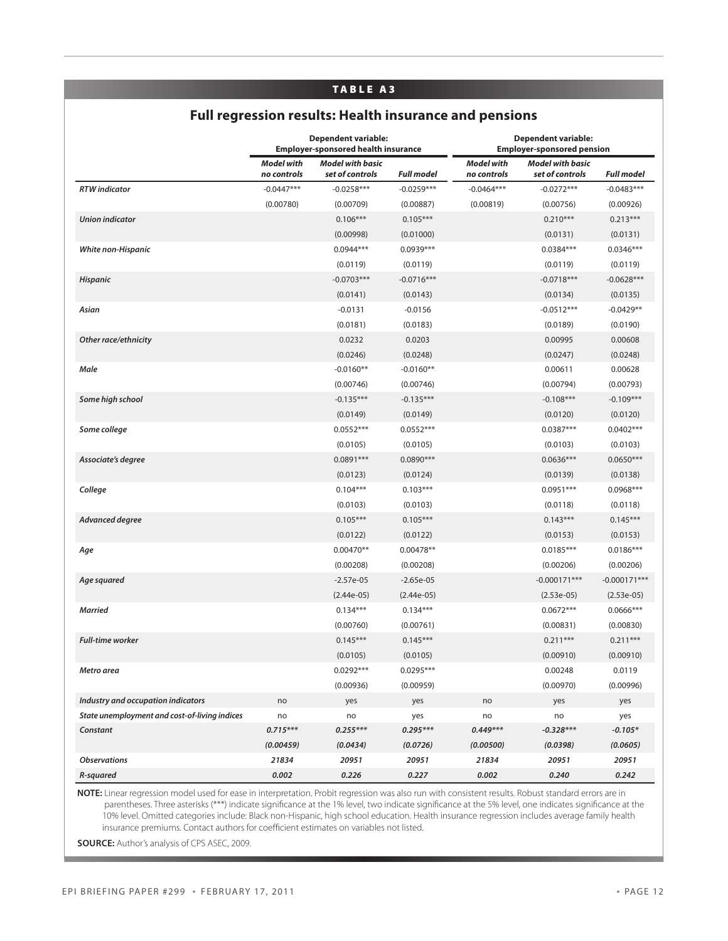#### TA B LE a3

## **Full regression results: Health insurance and pensions**

|                                               | <b>Dependent variable:</b><br><b>Employer-sponsored health insurance</b> |                                            | <b>Dependent variable:</b><br><b>Employer-sponsored pension</b> |                                  |                                            |                   |
|-----------------------------------------------|--------------------------------------------------------------------------|--------------------------------------------|-----------------------------------------------------------------|----------------------------------|--------------------------------------------|-------------------|
|                                               | <b>Model with</b><br>no controls                                         | <b>Model with basic</b><br>set of controls | <b>Full model</b>                                               | <b>Model with</b><br>no controls | <b>Model with basic</b><br>set of controls | <b>Full model</b> |
| <b>RTW</b> indicator                          | $-0.0447***$                                                             | $-0.0258***$                               | $-0.0259***$                                                    | $-0.0464***$                     | $-0.0272***$                               | $-0.0483***$      |
|                                               | (0.00780)                                                                | (0.00709)                                  | (0.00887)                                                       | (0.00819)                        | (0.00756)                                  | (0.00926)         |
| <b>Union indicator</b>                        |                                                                          | $0.106***$                                 | $0.105***$                                                      |                                  | $0.210***$                                 | $0.213***$        |
|                                               |                                                                          | (0.00998)                                  | (0.01000)                                                       |                                  | (0.0131)                                   | (0.0131)          |
| White non-Hispanic                            |                                                                          | $0.0944***$                                | 0.0939***                                                       |                                  | $0.0384***$                                | $0.0346***$       |
|                                               |                                                                          | (0.0119)                                   | (0.0119)                                                        |                                  | (0.0119)                                   | (0.0119)          |
| <b>Hispanic</b>                               |                                                                          | $-0.0703***$                               | $-0.0716***$                                                    |                                  | $-0.0718***$                               | $-0.0628***$      |
|                                               |                                                                          | (0.0141)                                   | (0.0143)                                                        |                                  | (0.0134)                                   | (0.0135)          |
| Asian                                         |                                                                          | $-0.0131$                                  | $-0.0156$                                                       |                                  | $-0.0512***$                               | $-0.0429**$       |
|                                               |                                                                          | (0.0181)                                   | (0.0183)                                                        |                                  | (0.0189)                                   | (0.0190)          |
| Other race/ethnicity                          |                                                                          | 0.0232                                     | 0.0203                                                          |                                  | 0.00995                                    | 0.00608           |
|                                               |                                                                          | (0.0246)                                   | (0.0248)                                                        |                                  | (0.0247)                                   | (0.0248)          |
| Male                                          |                                                                          | $-0.0160**$                                | $-0.0160**$                                                     |                                  | 0.00611                                    | 0.00628           |
|                                               |                                                                          | (0.00746)                                  | (0.00746)                                                       |                                  | (0.00794)                                  | (0.00793)         |
| Some high school                              |                                                                          | $-0.135***$                                | $-0.135***$                                                     |                                  | $-0.108***$                                | $-0.109***$       |
|                                               |                                                                          | (0.0149)                                   | (0.0149)                                                        |                                  | (0.0120)                                   | (0.0120)          |
| Some college                                  |                                                                          | $0.0552***$                                | $0.0552***$                                                     |                                  | $0.0387***$                                | $0.0402***$       |
|                                               |                                                                          | (0.0105)                                   | (0.0105)                                                        |                                  | (0.0103)                                   | (0.0103)          |
| Associate's degree                            |                                                                          | $0.0891***$                                | 0.0890***                                                       |                                  | $0.0636***$                                | $0.0650***$       |
|                                               |                                                                          | (0.0123)                                   | (0.0124)                                                        |                                  | (0.0139)                                   | (0.0138)          |
| College                                       |                                                                          | $0.104***$                                 | $0.103***$                                                      |                                  | $0.0951***$                                | $0.0968***$       |
|                                               |                                                                          | (0.0103)                                   | (0.0103)                                                        |                                  | (0.0118)                                   | (0.0118)          |
| Advanced degree                               |                                                                          | $0.105***$                                 | $0.105***$                                                      |                                  | $0.143***$                                 | $0.145***$        |
|                                               |                                                                          | (0.0122)                                   | (0.0122)                                                        |                                  | (0.0153)                                   | (0.0153)          |
| Age                                           |                                                                          | 0.00470**                                  | 0.00478**                                                       |                                  | $0.0185***$                                | $0.0186***$       |
|                                               |                                                                          | (0.00208)                                  | (0.00208)                                                       |                                  | (0.00206)                                  | (0.00206)         |
| Age squared                                   |                                                                          | $-2.57e-05$                                | $-2.65e-05$                                                     |                                  | $-0.000171***$                             | $-0.000171***$    |
|                                               |                                                                          | $(2.44e-05)$                               | $(2.44e-05)$                                                    |                                  | $(2.53e-05)$                               | $(2.53e-05)$      |
| <b>Married</b>                                |                                                                          | $0.134***$                                 | $0.134***$                                                      |                                  | $0.0672***$                                | $0.0666***$       |
|                                               |                                                                          | (0.00760)                                  | (0.00761)                                                       |                                  | (0.00831)                                  | (0.00830)         |
| <b>Full-time worker</b>                       |                                                                          | $0.145***$                                 | $0.145***$                                                      |                                  | $0.211***$                                 | $0.211***$        |
|                                               |                                                                          | (0.0105)                                   | (0.0105)                                                        |                                  | (0.00910)                                  | (0.00910)         |
| Metro area                                    |                                                                          | $0.0292***$                                | 0.0295***                                                       |                                  | 0.00248                                    | 0.0119            |
|                                               |                                                                          | (0.00936)                                  | (0.00959)                                                       |                                  | (0.00970)                                  | (0.00996)         |
| Industry and occupation indicators            | no                                                                       | yes                                        | yes                                                             | no                               | yes                                        | yes               |
| State unemployment and cost-of-living indices | no                                                                       | no                                         | yes                                                             | no                               | no                                         | yes               |
| Constant                                      | $0.715***$                                                               | $0.255***$                                 | $0.295***$                                                      | $0.449***$                       | $-0.328***$                                | $-0.105*$         |
|                                               | (0.00459)                                                                | (0.0434)                                   | (0.0726)                                                        | (0.00500)                        | (0.0398)                                   | (0.0605)          |
| <b>Observations</b>                           | 21834                                                                    | 20951                                      | 20951                                                           | 21834                            | 20951                                      | 20951             |
| R-squared                                     | 0.002                                                                    | 0.226                                      | 0.227                                                           | 0.002                            | 0.240                                      | 0.242             |

**NOTE:** Linear regression model used for ease in interpretation. Probit regression was also run with consistent results. Robust standard errors are in parentheses. Three asterisks (\*\*\*) indicate significance at the 1% level, two indicate significance at the 5% level, one indicates significance at the 10% level. Omitted categories include: Black non-Hispanic, high school education. Health insurance regression includes average family health insurance premiums. Contact authors for coefficient estimates on variables not listed.

**Source:** Author's analysis of CPS ASEC, 2009.